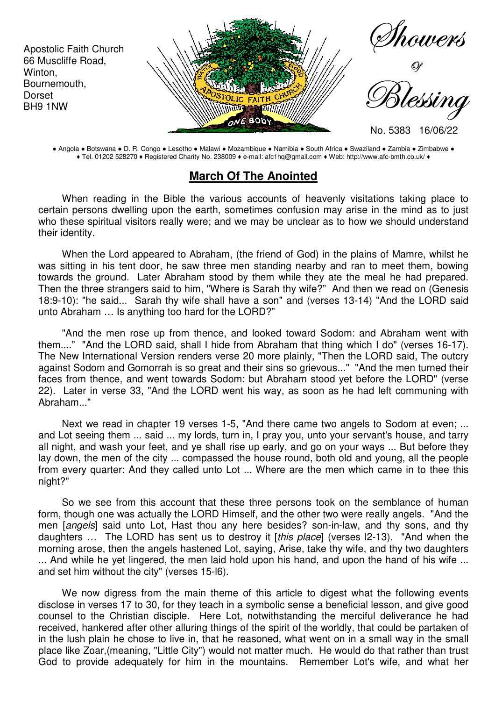

● Angola ● Botswana ● D. R. Congo ● Lesotho ● Malawi ● Mozambique ● Namibia ● South Africa ● Swaziland ● Zambia ● Zimbabwe ● ♦ Tel. 01202 528270 ♦ Registered Charity No. 238009 ♦ e-mail: afc1hq@gmail.com ♦ Web: http://www.afc-bmth.co.uk/ ♦

## **March Of The Anointed**

When reading in the Bible the various accounts of heavenly visitations taking place to certain persons dwelling upon the earth, sometimes confusion may arise in the mind as to just who these spiritual visitors really were; and we may be unclear as to how we should understand their identity.

When the Lord appeared to Abraham, (the friend of God) in the plains of Mamre, whilst he was sitting in his tent door, he saw three men standing nearby and ran to meet them, bowing towards the ground. Later Abraham stood by them while they ate the meal he had prepared. Then the three strangers said to him, "Where is Sarah thy wife?" And then we read on (Genesis 18:9-10): "he said... Sarah thy wife shall have a son" and (verses 13-14) "And the LORD said unto Abraham … Is anything too hard for the LORD?"

"And the men rose up from thence, and looked toward Sodom: and Abraham went with them...." "And the LORD said, shall I hide from Abraham that thing which I do" (verses 16-17). The New International Version renders verse 20 more plainly, "Then the LORD said, The outcry against Sodom and Gomorrah is so great and their sins so grievous..." "And the men turned their faces from thence, and went towards Sodom: but Abraham stood yet before the LORD" (verse 22). Later in verse 33, "And the LORD went his way, as soon as he had left communing with Abraham..."

Next we read in chapter 19 verses 1-5, "And there came two angels to Sodom at even; ... and Lot seeing them ... said ... my lords, turn in, I pray you, unto your servant's house, and tarry all night, and wash your feet, and ye shall rise up early, and go on your ways ... But before they lay down, the men of the city ... compassed the house round, both old and young, all the people from every quarter: And they called unto Lot ... Where are the men which came in to thee this night?"

So we see from this account that these three persons took on the semblance of human form, though one was actually the LORD Himself, and the other two were really angels. "And the men [angels] said unto Lot, Hast thou any here besides? son-in-law, and thy sons, and thy daughters … The LORD has sent us to destroy it [this place] (verses l2-13). "And when the morning arose, then the angels hastened Lot, saying, Arise, take thy wife, and thy two daughters ... And while he yet lingered, the men laid hold upon his hand, and upon the hand of his wife ... and set him without the city" (verses 15-l6).

We now digress from the main theme of this article to digest what the following events disclose in verses 17 to 30, for they teach in a symbolic sense a beneficial lesson, and give good counsel to the Christian disciple. Here Lot, notwithstanding the merciful deliverance he had received, hankered after other alluring things of the spirit of the worldly, that could be partaken of in the lush plain he chose to live in, that he reasoned, what went on in a small way in the small place like Zoar,(meaning, "Little City") would not matter much. He would do that rather than trust God to provide adequately for him in the mountains. Remember Lot's wife, and what her